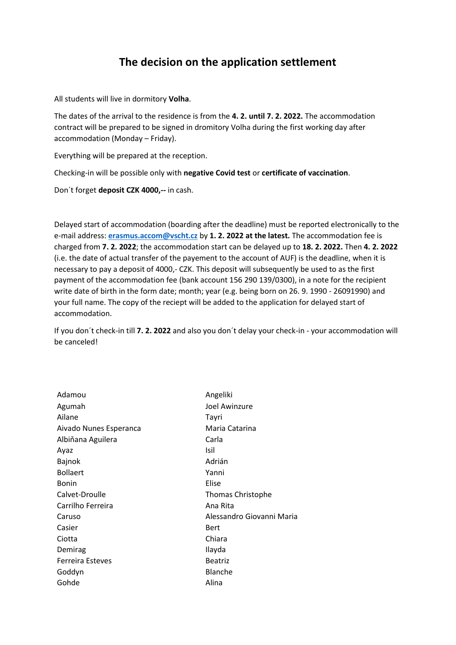## **The decision on the application settlement**

All students will live in dormitory **Volha**.

The dates of the arrival to the residence is from the **4. 2. until 7. 2. 2022.** The accommodation contract will be prepared to be signed in dromitory Volha during the first working day after accommodation (Monday – Friday).

Everything will be prepared at the reception.

Checking-in will be possible only with **negative Covid test** or **certificate of vaccination**.

Don´t forget **deposit CZK 4000,--** in cash.

Delayed start of accommodation (boarding after the deadline) must be reported electronically to the e-mail address: **[erasmus.accom@vscht.cz](mailto:erasmus.accom@vscht.cz)** by **1. 2. 2022 at the latest.** The accommodation fee is charged from **7. 2. 2022**; the accommodation start can be delayed up to **18. 2. 2022.** Then **4. 2. 2022** (i.e. the date of actual transfer of the payement to the account of AUF) is the deadline, when it is necessary to pay a deposit of 4000,- CZK. This deposit will subsequently be used to as the first payment of the accommodation fee (bank account 156 290 139/0300), in a note for the recipient write date of birth in the form date; month; year (e.g. being born on 26. 9. 1990 - 26091990) and your full name. The copy of the reciept will be added to the application for delayed start of accommodation.

If you don´t check-in till **7. 2. 2022** and also you don´t delay your check-in - your accommodation will be canceled!

| Adamou                  | Angeliki                  |
|-------------------------|---------------------------|
| Agumah                  | Joel Awinzure             |
| Ailane                  | Tayri                     |
| Aivado Nunes Esperanca  | Maria Catarina            |
| Albiňana Aguilera       | Carla                     |
| Ayaz                    | Isil                      |
| Bajnok                  | Adrián                    |
| <b>Bollaert</b>         | Yanni                     |
| <b>Bonin</b>            | Elise                     |
| Calvet-Droulle          | <b>Thomas Christophe</b>  |
| Carrilho Ferreira       | Ana Rita                  |
| Caruso                  | Alessandro Giovanni Maria |
| Casier                  | Bert                      |
| Ciotta                  | Chiara                    |
| Demirag                 | Ilayda                    |
| <b>Ferreira Esteves</b> | <b>Beatriz</b>            |
| Goddyn                  | <b>Blanche</b>            |
| Gohde                   | Alina                     |